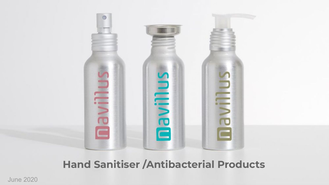

#### **Hand Sanitiser /Antibacterial Products**

June 2020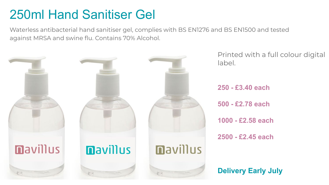#### 250ml Hand Sanitiser Gel

Waterless antibacterial hand sanitiser gel, complies with BS EN1276 and BS EN1500 and tested against MRSA and swine flu. Contains 70% Alcohol.

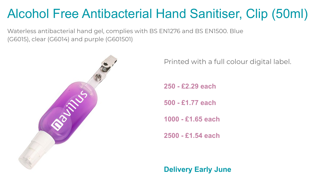# Alcohol Free Antibacterial Hand Sanitiser, Clip (50ml)

Waterless antibacterial hand gel, complies with BS EN1276 and BS EN1500. Blue (G6015), clear (G6014) and purple (G601501)



Printed with a full colour digital label.

**250 - £2.29 each** 

**500 - £1.77 each** 

**1000 - £1.65 each** 

**2500 - £1.54 each** 

**Delivery Early June**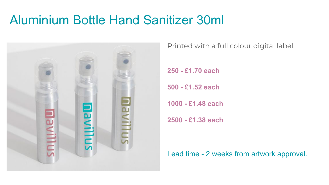#### Aluminium Bottle Hand Sanitizer 30ml



Printed with a full colour digital label.

**250 - £1.70 each** 

**500 - £1.52 each** 

**1000 - £1.48 each** 

**2500 - £1.38 each** 

Lead time - 2 weeks from artwork approval.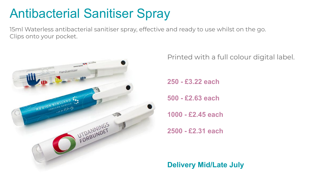## Antibacterial Sanitiser Spray

15ml Waterless antibacterial sanitiser spray, effective and ready to use whilst on the go. Clips onto your pocket.



Printed with a full colour digital label.

**250 - £3.22 each** 

**500 - £2.63 each** 

**1000 - £2.45 each** 

**2500 - £2.31 each**

**Delivery Mid/Late July**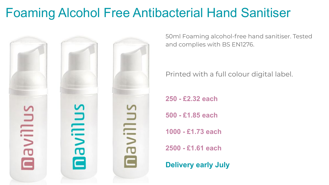# Foaming Alcohol Free Antibacterial Hand Sanitiser



50ml Foaming alcohol-free hand sanitiser. Tested and complies with BS EN1276.

Printed with a full colour digital label.

**250 - £2.32 each** 

**500 - £1.85 each** 

**1000 - £1.73 each** 

**2500 - £1.61 each**

**Delivery early July**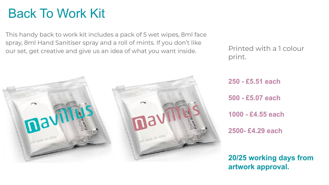### Back To Work Kit

This handy back to work kit includes a pack of 5 wet wipes, 8ml face spray, 8ml Hand Sanitiser spray and a roll of mints. If you don't like our set, get creative and give us an idea of what you want inside.



Printed with a 1 colour print.

**250 - £5.51 each 500 - £5.07 each 1000 - £4.55 each 2500- £4.29 each**

**20/25 working days from artwork approval.**